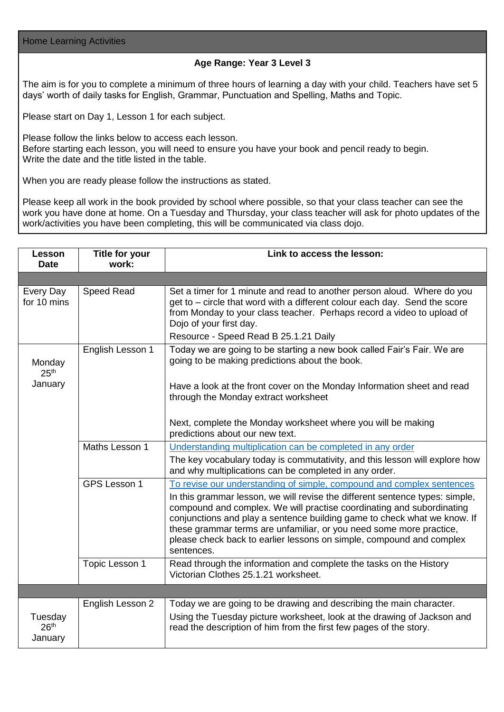Home Learning Activities

## **Age Range: Year 3 Level 3**

The aim is for you to complete a minimum of three hours of learning a day with your child. Teachers have set 5 days' worth of daily tasks for English, Grammar, Punctuation and Spelling, Maths and Topic.

Please start on Day 1, Lesson 1 for each subject.

Please follow the links below to access each lesson. Before starting each lesson, you will need to ensure you have your book and pencil ready to begin. Write the date and the title listed in the table.

When you are ready please follow the instructions as stated.

Please keep all work in the book provided by school where possible, so that your class teacher can see the work you have done at home. On a Tuesday and Thursday, your class teacher will ask for photo updates of the work/activities you have been completing, this will be communicated via class dojo.

| Lesson<br><b>Date</b>                  | <b>Title for your</b><br>work: | Link to access the lesson:                                                                                                                                                                                                                                                                                                                                                                     |
|----------------------------------------|--------------------------------|------------------------------------------------------------------------------------------------------------------------------------------------------------------------------------------------------------------------------------------------------------------------------------------------------------------------------------------------------------------------------------------------|
|                                        |                                |                                                                                                                                                                                                                                                                                                                                                                                                |
| Every Day<br>for 10 mins               | <b>Speed Read</b>              | Set a timer for 1 minute and read to another person aloud. Where do you<br>get to – circle that word with a different colour each day. Send the score<br>from Monday to your class teacher. Perhaps record a video to upload of<br>Dojo of your first day.                                                                                                                                     |
|                                        |                                | Resource - Speed Read B 25.1.21 Daily                                                                                                                                                                                                                                                                                                                                                          |
| Monday<br>25 <sup>th</sup><br>January  | English Lesson 1               | Today we are going to be starting a new book called Fair's Fair. We are<br>going to be making predictions about the book.                                                                                                                                                                                                                                                                      |
|                                        |                                | Have a look at the front cover on the Monday Information sheet and read<br>through the Monday extract worksheet                                                                                                                                                                                                                                                                                |
|                                        |                                | Next, complete the Monday worksheet where you will be making<br>predictions about our new text.                                                                                                                                                                                                                                                                                                |
|                                        | Maths Lesson 1                 | Understanding multiplication can be completed in any order                                                                                                                                                                                                                                                                                                                                     |
|                                        |                                | The key vocabulary today is commutativity, and this lesson will explore how<br>and why multiplications can be completed in any order.                                                                                                                                                                                                                                                          |
|                                        | GPS Lesson 1                   | To revise our understanding of simple, compound and complex sentences                                                                                                                                                                                                                                                                                                                          |
|                                        |                                | In this grammar lesson, we will revise the different sentence types: simple,<br>compound and complex. We will practise coordinating and subordinating<br>conjunctions and play a sentence building game to check what we know. If<br>these grammar terms are unfamiliar, or you need some more practice,<br>please check back to earlier lessons on simple, compound and complex<br>sentences. |
|                                        | Topic Lesson 1                 | Read through the information and complete the tasks on the History<br>Victorian Clothes 25.1.21 worksheet.                                                                                                                                                                                                                                                                                     |
|                                        |                                |                                                                                                                                                                                                                                                                                                                                                                                                |
|                                        | English Lesson 2               | Today we are going to be drawing and describing the main character.                                                                                                                                                                                                                                                                                                                            |
| Tuesday<br>26 <sup>th</sup><br>January |                                | Using the Tuesday picture worksheet, look at the drawing of Jackson and<br>read the description of him from the first few pages of the story.                                                                                                                                                                                                                                                  |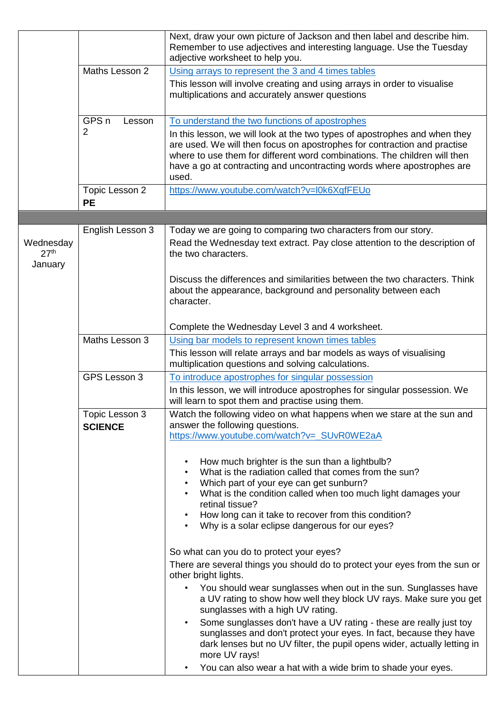|                                          |                                  | Next, draw your own picture of Jackson and then label and describe him.<br>Remember to use adjectives and interesting language. Use the Tuesday<br>adjective worksheet to help you.                                                                                                                                    |
|------------------------------------------|----------------------------------|------------------------------------------------------------------------------------------------------------------------------------------------------------------------------------------------------------------------------------------------------------------------------------------------------------------------|
|                                          | Maths Lesson 2                   | Using arrays to represent the 3 and 4 times tables                                                                                                                                                                                                                                                                     |
|                                          |                                  | This lesson will involve creating and using arrays in order to visualise<br>multiplications and accurately answer questions                                                                                                                                                                                            |
|                                          | GPS <sub>n</sub><br>Lesson       | To understand the two functions of apostrophes                                                                                                                                                                                                                                                                         |
|                                          | $\overline{2}$                   | In this lesson, we will look at the two types of apostrophes and when they<br>are used. We will then focus on apostrophes for contraction and practise<br>where to use them for different word combinations. The children will then<br>have a go at contracting and uncontracting words where apostrophes are<br>used. |
|                                          | Topic Lesson 2<br><b>PE</b>      | https://www.youtube.com/watch?v=l0k6XqfFEUo                                                                                                                                                                                                                                                                            |
|                                          |                                  |                                                                                                                                                                                                                                                                                                                        |
| Wednesday<br>27 <sup>th</sup><br>January | English Lesson 3                 | Today we are going to comparing two characters from our story.<br>Read the Wednesday text extract. Pay close attention to the description of<br>the two characters.                                                                                                                                                    |
|                                          |                                  | Discuss the differences and similarities between the two characters. Think<br>about the appearance, background and personality between each<br>character.                                                                                                                                                              |
|                                          |                                  | Complete the Wednesday Level 3 and 4 worksheet.                                                                                                                                                                                                                                                                        |
|                                          | Maths Lesson 3                   | Using bar models to represent known times tables                                                                                                                                                                                                                                                                       |
|                                          |                                  | This lesson will relate arrays and bar models as ways of visualising<br>multiplication questions and solving calculations.                                                                                                                                                                                             |
|                                          | GPS Lesson 3                     | To introduce apostrophes for singular possession                                                                                                                                                                                                                                                                       |
|                                          |                                  | In this lesson, we will introduce apostrophes for singular possession. We<br>will learn to spot them and practise using them.                                                                                                                                                                                          |
|                                          | Topic Lesson 3<br><b>SCIENCE</b> | Watch the following video on what happens when we stare at the sun and<br>answer the following questions.<br>https://www.youtube.com/watch?v=_SUvR0WE2aA                                                                                                                                                               |
|                                          |                                  | How much brighter is the sun than a lightbulb?<br>$\bullet$                                                                                                                                                                                                                                                            |
|                                          |                                  | What is the radiation called that comes from the sun?<br>$\bullet$<br>Which part of your eye can get sunburn?<br>$\bullet$                                                                                                                                                                                             |
|                                          |                                  | What is the condition called when too much light damages your<br>retinal tissue?                                                                                                                                                                                                                                       |
|                                          |                                  | How long can it take to recover from this condition?<br>$\bullet$<br>Why is a solar eclipse dangerous for our eyes?<br>$\bullet$                                                                                                                                                                                       |
|                                          |                                  | So what can you do to protect your eyes?                                                                                                                                                                                                                                                                               |
|                                          |                                  | There are several things you should do to protect your eyes from the sun or<br>other bright lights.                                                                                                                                                                                                                    |
|                                          |                                  | You should wear sunglasses when out in the sun. Sunglasses have<br>a UV rating to show how well they block UV rays. Make sure you get<br>sunglasses with a high UV rating.                                                                                                                                             |
|                                          |                                  | Some sunglasses don't have a UV rating - these are really just toy<br>$\bullet$<br>sunglasses and don't protect your eyes. In fact, because they have<br>dark lenses but no UV filter, the pupil opens wider, actually letting in<br>more UV rays!                                                                     |
|                                          |                                  | You can also wear a hat with a wide brim to shade your eyes.<br>$\bullet$                                                                                                                                                                                                                                              |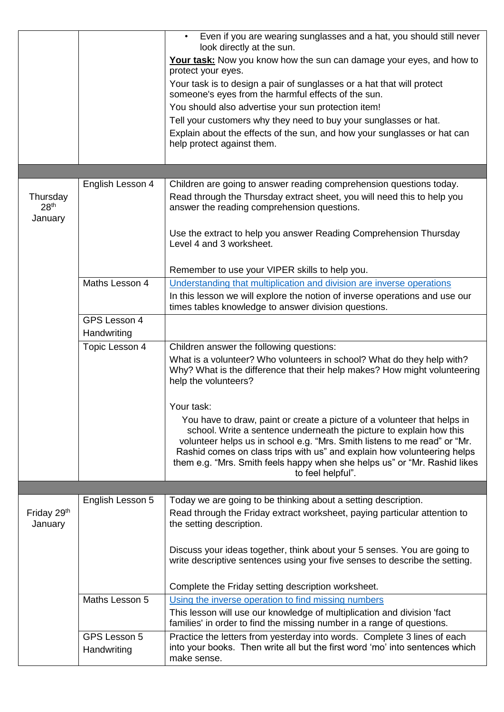|                                         |                             | Even if you are wearing sunglasses and a hat, you should still never<br>look directly at the sun.                                                                                                                                                                                                                                                                                                         |
|-----------------------------------------|-----------------------------|-----------------------------------------------------------------------------------------------------------------------------------------------------------------------------------------------------------------------------------------------------------------------------------------------------------------------------------------------------------------------------------------------------------|
|                                         |                             | Your task: Now you know how the sun can damage your eyes, and how to                                                                                                                                                                                                                                                                                                                                      |
|                                         |                             | protect your eyes.                                                                                                                                                                                                                                                                                                                                                                                        |
|                                         |                             | Your task is to design a pair of sunglasses or a hat that will protect<br>someone's eyes from the harmful effects of the sun.                                                                                                                                                                                                                                                                             |
|                                         |                             | You should also advertise your sun protection item!                                                                                                                                                                                                                                                                                                                                                       |
|                                         |                             | Tell your customers why they need to buy your sunglasses or hat.                                                                                                                                                                                                                                                                                                                                          |
|                                         |                             | Explain about the effects of the sun, and how your sunglasses or hat can                                                                                                                                                                                                                                                                                                                                  |
|                                         |                             | help protect against them.                                                                                                                                                                                                                                                                                                                                                                                |
|                                         |                             |                                                                                                                                                                                                                                                                                                                                                                                                           |
|                                         | English Lesson 4            | Children are going to answer reading comprehension questions today.                                                                                                                                                                                                                                                                                                                                       |
| Thursday<br>28 <sup>th</sup><br>January |                             | Read through the Thursday extract sheet, you will need this to help you<br>answer the reading comprehension questions.                                                                                                                                                                                                                                                                                    |
|                                         |                             | Use the extract to help you answer Reading Comprehension Thursday<br>Level 4 and 3 worksheet.                                                                                                                                                                                                                                                                                                             |
|                                         |                             | Remember to use your VIPER skills to help you.                                                                                                                                                                                                                                                                                                                                                            |
|                                         | Maths Lesson 4              | Understanding that multiplication and division are inverse operations                                                                                                                                                                                                                                                                                                                                     |
|                                         |                             | In this lesson we will explore the notion of inverse operations and use our<br>times tables knowledge to answer division questions.                                                                                                                                                                                                                                                                       |
|                                         | GPS Lesson 4<br>Handwriting |                                                                                                                                                                                                                                                                                                                                                                                                           |
|                                         | Topic Lesson 4              | Children answer the following questions:                                                                                                                                                                                                                                                                                                                                                                  |
|                                         |                             | What is a volunteer? Who volunteers in school? What do they help with?<br>Why? What is the difference that their help makes? How might volunteering<br>help the volunteers?                                                                                                                                                                                                                               |
|                                         |                             | Your task:                                                                                                                                                                                                                                                                                                                                                                                                |
|                                         |                             | You have to draw, paint or create a picture of a volunteer that helps in<br>school. Write a sentence underneath the picture to explain how this<br>volunteer helps us in school e.g. "Mrs. Smith listens to me read" or "Mr.<br>Rashid comes on class trips with us" and explain how volunteering helps<br>them e.g. "Mrs. Smith feels happy when she helps us" or "Mr. Rashid likes<br>to feel helpful". |
|                                         |                             |                                                                                                                                                                                                                                                                                                                                                                                                           |
| Friday 29 <sup>th</sup><br>January      | English Lesson 5            | Today we are going to be thinking about a setting description.<br>Read through the Friday extract worksheet, paying particular attention to<br>the setting description.                                                                                                                                                                                                                                   |
|                                         |                             | Discuss your ideas together, think about your 5 senses. You are going to<br>write descriptive sentences using your five senses to describe the setting.                                                                                                                                                                                                                                                   |
|                                         |                             | Complete the Friday setting description worksheet.                                                                                                                                                                                                                                                                                                                                                        |
|                                         | Maths Lesson 5              | Using the inverse operation to find missing numbers                                                                                                                                                                                                                                                                                                                                                       |
|                                         |                             | This lesson will use our knowledge of multiplication and division 'fact<br>families' in order to find the missing number in a range of questions.                                                                                                                                                                                                                                                         |
|                                         | GPS Lesson 5<br>Handwriting | Practice the letters from yesterday into words. Complete 3 lines of each<br>into your books. Then write all but the first word 'mo' into sentences which<br>make sense.                                                                                                                                                                                                                                   |